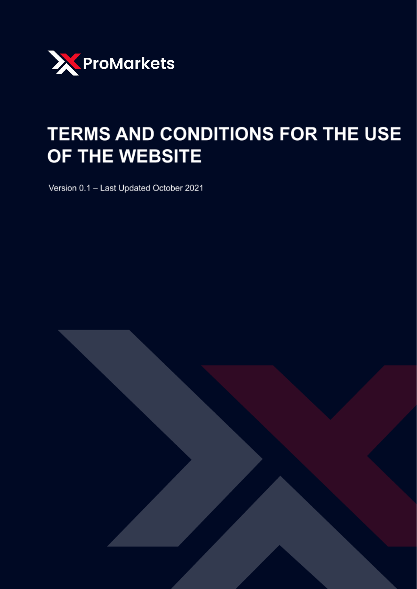

# TERMS AND CONDITIONS FOR THE USE OF THE WEBSITE

Version 0.1 - Last Updated October 2021

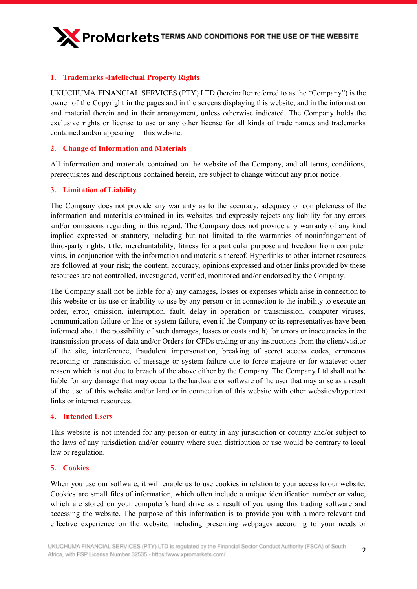

# **1. Trademarks -Intellectual Property Rights**

UKUCHUMA FINANCIAL SERVICES (PTY) LTD (hereinafter referred to as the "Company") is the owner of the Copyright in the pages and in the screens displaying this website, and in the information and material therein and in their arrangement, unless otherwise indicated. The Company holds the exclusive rights or license to use or any other license for all kinds of trade names and trademarks contained and/or appearing in this website.

# **2. Change of Information and Materials**

All information and materials contained on the website of the Company, and all terms, conditions, prerequisites and descriptions contained herein, are subject to change without any prior notice.

# **3. Limitation of Liability**

The Company does not provide any warranty as to the accuracy, adequacy or completeness of the information and materials contained in its websites and expressly rejects any liability for any errors and/or omissions regarding in this regard. The Company does not provide any warranty of any kind implied expressed or statutory, including but not limited to the warranties of noninfringement of third-party rights, title, merchantability, fitness for a particular purpose and freedom from computer virus, in conjunction with the information and materials thereof. Hyperlinks to other internet resources are followed at your risk; the content, accuracy, opinions expressed and other links provided by these resources are not controlled, investigated, verified, monitored and/or endorsed by the Company.

The Company shall not be liable for a) any damages, losses or expenses which arise in connection to this website or its use or inability to use by any person or in connection to the inability to execute an order, error, omission, interruption, fault, delay in operation or transmission, computer viruses, communication failure or line or system failure, even if the Company or its representatives have been informed about the possibility of such damages, losses or costs and b) for errors or inaccuracies in the transmission process of data and/or Orders for CFDs trading or any instructions from the client/visitor of the site, interference, fraudulent impersonation, breaking of secret access codes, erroneous recording or transmission of message or system failure due to force majeure or for whatever other reason which is not due to breach of the above either by the Company. The Company Ltd shall not be liable for any damage that may occur to the hardware or software of the user that may arise as a result of the use of this website and/or land or in connection of this website with other websites/hypertext links or internet resources.

#### **4. Intended Users**

This website is not intended for any person or entity in any jurisdiction or country and/or subject to the laws of any jurisdiction and/or country where such distribution or use would be contrary to local law or regulation.

#### **5. Cookies**

When you use our software, it will enable us to use cookies in relation to your access to our website. Cookies are small files of information, which often include a unique identification number or value, which are stored on your computer's hard drive as a result of you using this trading software and accessing the website. The purpose of this information is to provide you with a more relevant and effective experience on the website, including presenting webpages according to your needs or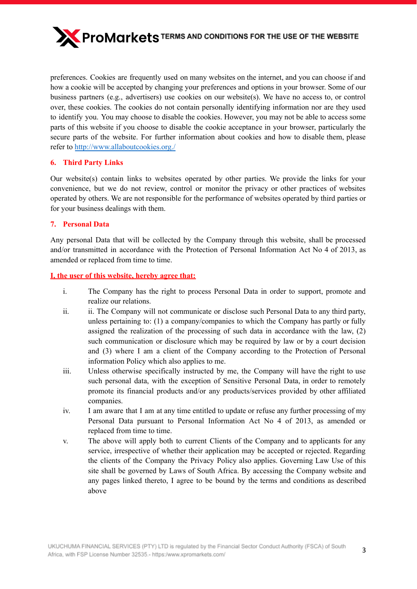

preferences. Cookies are frequently used on many websites on the internet, and you can choose if and how a cookie will be accepted by changing your preferences and options in your browser. Some of our business partners (e.g., advertisers) use cookies on our website(s). We have no access to, or control over, these cookies. The cookies do not contain personally identifying information nor are they used to identify you. You may choose to disable the cookies. However, you may not be able to access some parts of this website if you choose to disable the cookie acceptance in your browser, particularly the secure parts of the website. For further information about cookies and how to disable them, please refer to <http://www.allaboutcookies.org./>

# **6. Third Party Links**

Our website(s) contain links to websites operated by other parties. We provide the links for your convenience, but we do not review, control or monitor the privacy or other practices of websites operated by others. We are not responsible for the performance of websites operated by third parties or for your business dealings with them.

# **7. Personal Data**

Any personal Data that will be collected by the Company through this website, shall be processed and/or transmitted in accordance with the Protection of Personal Information Act No 4 of 2013, as amended or replaced from time to time.

# **I, the user of this website, hereby agree that:**

- i. The Company has the right to process Personal Data in order to support, promote and realize our relations.
- ii. ii. The Company will not communicate or disclose such Personal Data to any third party, unless pertaining to: (1) a company/companies to which the Company has partly or fully assigned the realization of the processing of such data in accordance with the law, (2) such communication or disclosure which may be required by law or by a court decision and (3) where I am a client of the Company according to the Protection of Personal information Policy which also applies to me.
- iii. Unless otherwise specifically instructed by me, the Company will have the right to use such personal data, with the exception of Sensitive Personal Data, in order to remotely promote its financial products and/or any products/services provided by other affiliated companies.
- iv. I am aware that I am at any time entitled to update or refuse any further processing of my Personal Data pursuant to Personal Information Act No 4 of 2013, as amended or replaced from time to time.
- v. The above will apply both to current Clients of the Company and to applicants for any service, irrespective of whether their application may be accepted or rejected. Regarding the clients of the Company the Privacy Policy also applies. Governing Law Use of this site shall be governed by Laws of South Africa. By accessing the Company website and any pages linked thereto, I agree to be bound by the terms and conditions as described above